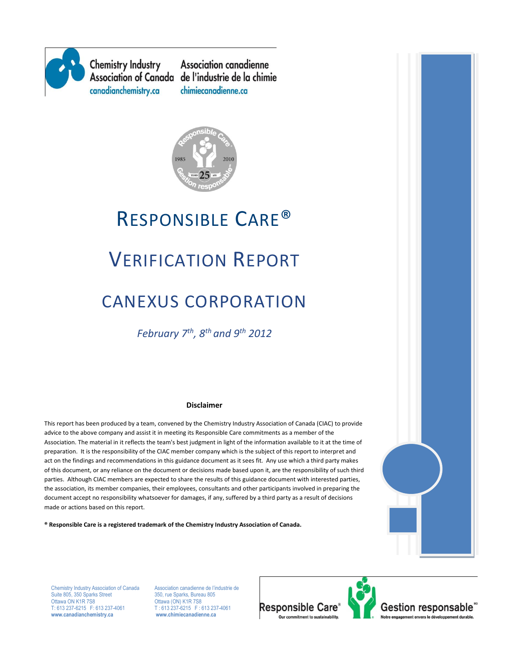

**Chemistry Industry** canadianchemistry.ca

**Association canadienne** Association of Canada de l'industrie de la chimie chimiecanadienne.ca



# RESPONSIBLE CARE®

## VERIFICATION REPORT

## CANEXUS CORPORATION

*February 7th, 8th and 9th 2012*

#### **Disclaimer**

This report has been produced by a team, convened by the Chemistry Industry Association of Canada (CIAC) to provide advice to the above company and assist it in meeting its Responsible Care commitments as a member of the Association. The material in it reflects the team's best judgment in light of the information available to it at the time of preparation. It is the responsibility of the CIAC member company which is the subject of this report to interpret and act on the findings and recommendations in this guidance document as it sees fit. Any use which a third party makes of this document, or any reliance on the document or decisions made based upon it, are the responsibility of such third parties. Although CIAC members are expected to share the results of this guidance document with interested parties, the association, its member companies, their employees, consultants and other participants involved in preparing the document accept no responsibility whatsoever for damages, if any, suffered by a third party as a result of decisions made or actions based on this report.

**® Responsible Care is a registered trademark of the Chemistry Industry Association of Canada.** 



Chemistry Industry Association of Canada Association canadienne de l'industrie de<br>
Suite 805, 350 Sparks Street<br>
350, rue Sparks, Bureau 805 Suite 805, 350 Sparks Street<br>Ottawa ON K1R 7S8 Ottawa ON K1R 7S8 CHE 2012 CHE CON) K1R 7S8<br>T: 613 237-6215 F: 613 237-4061 T: 613 237-6215 F: 6 **www.canadianchemistry.ca www.chimiecanadienne.ca**

 $T: 613\overline{2}37-6215$  F: 613 237-4061<br>www.chimiecanadienne.ca

**Responsible Care** 

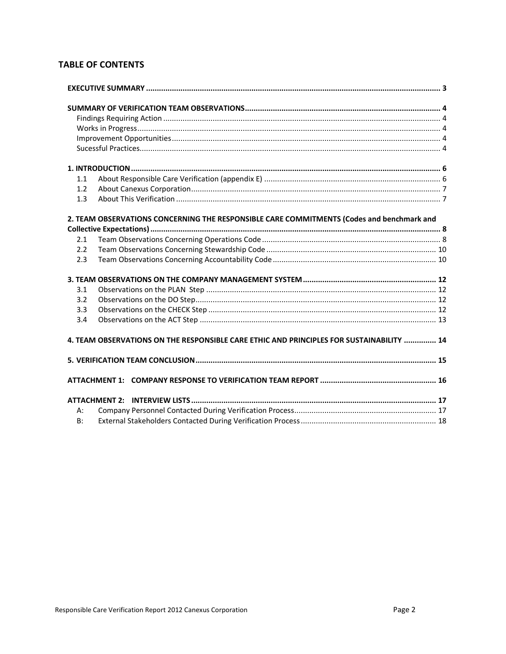## **TABLE OF CONTENTS**

| 1.1 |                                                                                           |  |  |  |  |
|-----|-------------------------------------------------------------------------------------------|--|--|--|--|
| 1.2 |                                                                                           |  |  |  |  |
| 1.3 |                                                                                           |  |  |  |  |
|     |                                                                                           |  |  |  |  |
|     | 2. TEAM OBSERVATIONS CONCERNING THE RESPONSIBLE CARE COMMITMENTS (Codes and benchmark and |  |  |  |  |
|     |                                                                                           |  |  |  |  |
| 2.1 |                                                                                           |  |  |  |  |
| 2.2 |                                                                                           |  |  |  |  |
| 2.3 |                                                                                           |  |  |  |  |
|     |                                                                                           |  |  |  |  |
| 3.1 |                                                                                           |  |  |  |  |
| 3.2 |                                                                                           |  |  |  |  |
| 3.3 |                                                                                           |  |  |  |  |
| 3.4 |                                                                                           |  |  |  |  |
|     |                                                                                           |  |  |  |  |
|     | 4. TEAM OBSERVATIONS ON THE RESPONSIBLE CARE ETHIC AND PRINCIPLES FOR SUSTAINABILITY  14  |  |  |  |  |
|     |                                                                                           |  |  |  |  |
|     |                                                                                           |  |  |  |  |
|     |                                                                                           |  |  |  |  |
|     |                                                                                           |  |  |  |  |
| А:  |                                                                                           |  |  |  |  |
| B:  |                                                                                           |  |  |  |  |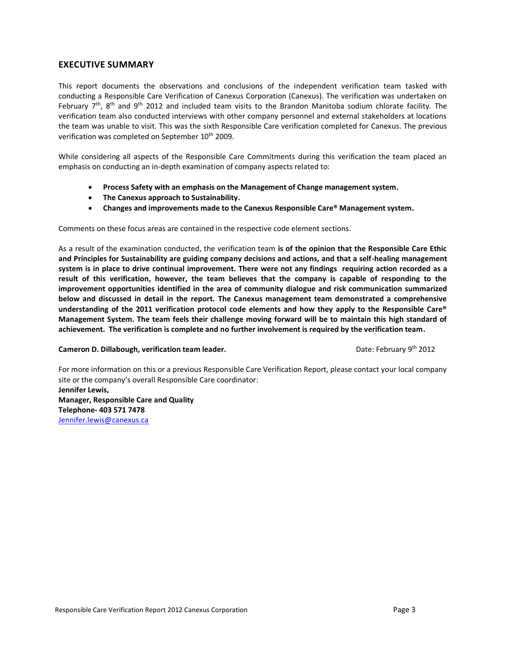#### <span id="page-2-0"></span>**EXECUTIVE SUMMARY**

This report documents the observations and conclusions of the independent verification team tasked with conducting a Responsible Care Verification of Canexus Corporation (Canexus). The verification was undertaken on February  $7<sup>th</sup>$ , 8<sup>th</sup> and 9<sup>th</sup> 2012 and included team visits to the Brandon Manitoba sodium chlorate facility. The verification team also conducted interviews with other company personnel and external stakeholders at locations the team was unable to visit. This was the sixth Responsible Care verification completed for Canexus. The previous verification was completed on September 10<sup>th</sup> 2009.

While considering all aspects of the Responsible Care Commitments during this verification the team placed an emphasis on conducting an in-depth examination of company aspects related to:

- **Process Safety with an emphasis on the Management of Change management system.**
- **The Canexus approach to Sustainability.**
- **Changes and improvements made to the Canexus Responsible Care® Management system.**

Comments on these focus areas are contained in the respective code element sections.

As a result of the examination conducted, the verification team **is of the opinion that the Responsible Care Ethic and Principles for Sustainability are guiding company decisions and actions, and that a self-healing management system is in place to drive continual improvement. There were not any findings requiring action recorded as a result of this verification, however, the team believes that the company is capable of responding to the improvement opportunities identified in the area of community dialogue and risk communication summarized below and discussed in detail in the report. The Canexus management team demonstrated a comprehensive understanding of the 2011 verification protocol code elements and how they apply to the Responsible Care® Management System. The team feels their challenge moving forward will be to maintain this high standard of achievement. The verification is complete and no further involvement is required by the verification team.**

**Cameron D. Dillabough, verification team leader. Example 2012** Date: February 9<sup>th</sup> 2012

For more information on this or a previous Responsible Care Verification Report, please contact your local company site or the company's overall Responsible Care coordinator:

<span id="page-2-1"></span>**Jennifer Lewis, Manager, Responsible Care and Quality Telephone- 403 571 7478** [Jennifer.lewis@canexus.ca](mailto:Jennifer.lewis@canexus.ca)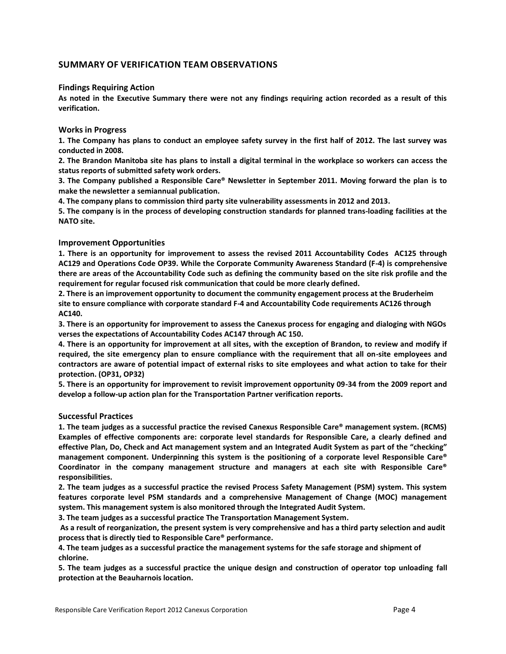#### <span id="page-3-0"></span>**SUMMARY OF VERIFICATION TEAM OBSERVATIONS**

#### **Findings Requiring Action**

**As noted in the Executive Summary there were not any findings requiring action recorded as a result of this verification.**

#### <span id="page-3-1"></span>**Works in Progress**

**1. The Company has plans to conduct an employee safety survey in the first half of 2012. The last survey was conducted in 2008.**

**2. The Brandon Manitoba site has plans to install a digital terminal in the workplace so workers can access the status reports of submitted safety work orders.**

**3. The Company published a Responsible Care® Newsletter in September 2011. Moving forward the plan is to make the newsletter a semiannual publication.**

**4. The company plans to commission third party site vulnerability assessments in 2012 and 2013.**

**5. The company is in the process of developing construction standards for planned trans-loading facilities at the NATO site.**

#### <span id="page-3-2"></span>**Improvement Opportunities**

**1. There is an opportunity for improvement to assess the revised 2011 Accountability Codes AC125 through AC129 and Operations Code OP39. While the Corporate Community Awareness Standard (F-4) is comprehensive there are areas of the Accountability Code such as defining the community based on the site risk profile and the requirement for regular focused risk communication that could be more clearly defined.**

**2. There is an improvement opportunity to document the community engagement process at the Bruderheim site to ensure compliance with corporate standard F-4 and Accountability Code requirements AC126 through AC140.** 

**3. There is an opportunity for improvement to assess the Canexus process for engaging and dialoging with NGOs verses the expectations of Accountability Codes AC147 through AC 150.**

**4. There is an opportunity for improvement at all sites, with the exception of Brandon, to review and modify if required, the site emergency plan to ensure compliance with the requirement that all on-site employees and contractors are aware of potential impact of external risks to site employees and what action to take for their protection. (OP31, OP32)** 

**5. There is an opportunity for improvement to revisit improvement opportunity 09-34 from the 2009 report and develop a follow-up action plan for the Transportation Partner verification reports.**

#### <span id="page-3-3"></span>**Successful Practices**

**1. The team judges as a successful practice the revised Canexus Responsible Care® management system. (RCMS) Examples of effective components are: corporate level standards for Responsible Care, a clearly defined and effective Plan, Do, Check and Act management system and an Integrated Audit System as part of the "checking" management component. Underpinning this system is the positioning of a corporate level Responsible Care® Coordinator in the company management structure and managers at each site with Responsible Care® responsibilities.**

**2. The team judges as a successful practice the revised Process Safety Management (PSM) system. This system features corporate level PSM standards and a comprehensive Management of Change (MOC) management system. This management system is also monitored through the Integrated Audit System.**

**3. The team judges as a successful practice The Transportation Management System.**

**As a result of reorganization, the present system is very comprehensive and has a third party selection and audit process that is directly tied to Responsible Care® performance.**

**4. The team judges as a successful practice the management systems for the safe storage and shipment of chlorine.**

**5. The team judges as a successful practice the unique design and construction of operator top unloading fall protection at the Beauharnois location.**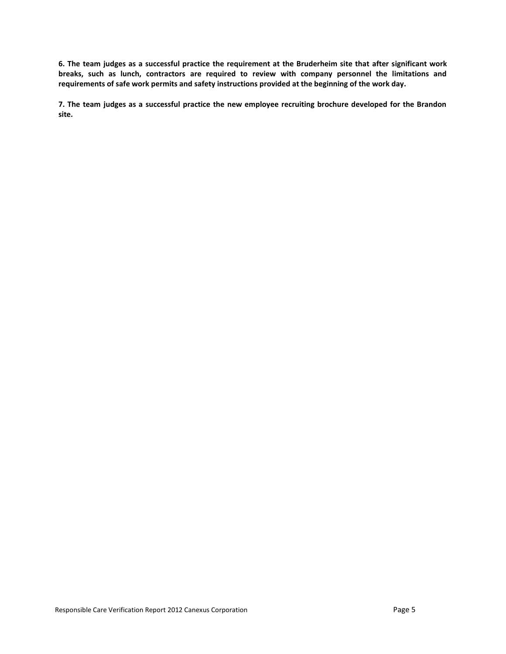**6. The team judges as a successful practice the requirement at the Bruderheim site that after significant work breaks, such as lunch, contractors are required to review with company personnel the limitations and requirements of safe work permits and safety instructions provided at the beginning of the work day.**

**7. The team judges as a successful practice the new employee recruiting brochure developed for the Brandon site.**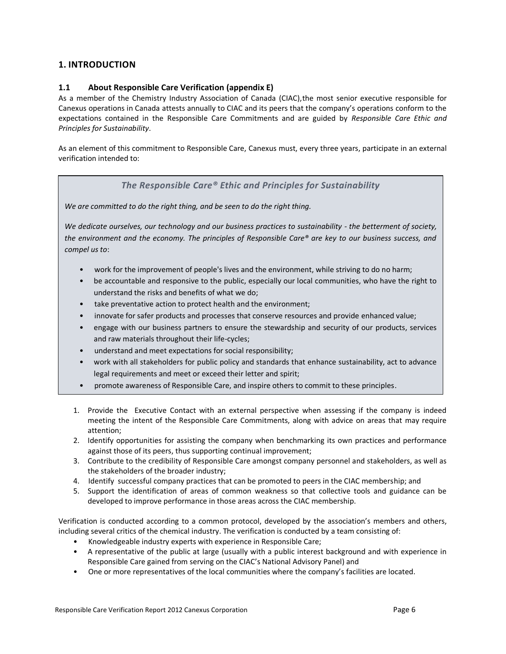### <span id="page-5-1"></span><span id="page-5-0"></span>**1. INTRODUCTION**

#### **1.1 About Responsible Care Verification (appendix E)**

As a member of the Chemistry Industry Association of Canada (CIAC),the most senior executive responsible for Canexus operations in Canada attests annually to CIAC and its peers that the company's operations conform to the expectations contained in the Responsible Care Commitments and are guided by *Responsible Care Ethic and Principles for Sustainability*.

As an element of this commitment to Responsible Care, Canexus must, every three years, participate in an external verification intended to:

#### *The Responsible Care® Ethic and Principles for Sustainability*

*We are committed to do the right thing, and be seen to do the right thing.*

*We dedicate ourselves, our technology and our business practices to sustainability - the betterment of society, the environment and the economy. The principles of Responsible Care® are key to our business success, and compel us to*:

- work for the improvement of people's lives and the environment, while striving to do no harm;
- be accountable and responsive to the public, especially our local communities, who have the right to understand the risks and benefits of what we do;
- take preventative action to protect health and the environment;
- innovate for safer products and processes that conserve resources and provide enhanced value;
- engage with our business partners to ensure the stewardship and security of our products, services and raw materials throughout their life-cycles;
- understand and meet expectations for social responsibility;
- work with all stakeholders for public policy and standards that enhance sustainability, act to advance legal requirements and meet or exceed their letter and spirit;
- promote awareness of Responsible Care, and inspire others to commit to these principles.
- 1. Provide the Executive Contact with an external perspective when assessing if the company is indeed meeting the intent of the Responsible Care Commitments, along with advice on areas that may require attention;
- 2. Identify opportunities for assisting the company when benchmarking its own practices and performance against those of its peers, thus supporting continual improvement;
- 3. Contribute to the credibility of Responsible Care amongst company personnel and stakeholders, as well as the stakeholders of the broader industry;
- 4. Identify successful company practices that can be promoted to peers in the CIAC membership; and
- 5. Support the identification of areas of common weakness so that collective tools and guidance can be developed to improve performance in those areas across the CIAC membership.

Verification is conducted according to a common protocol, developed by the association's members and others, including several critics of the chemical industry. The verification is conducted by a team consisting of:

- Knowledgeable industry experts with experience in Responsible Care;
- A representative of the public at large (usually with a public interest background and with experience in Responsible Care gained from serving on the CIAC's National Advisory Panel) and
- One or more representatives of the local communities where the company's facilities are located.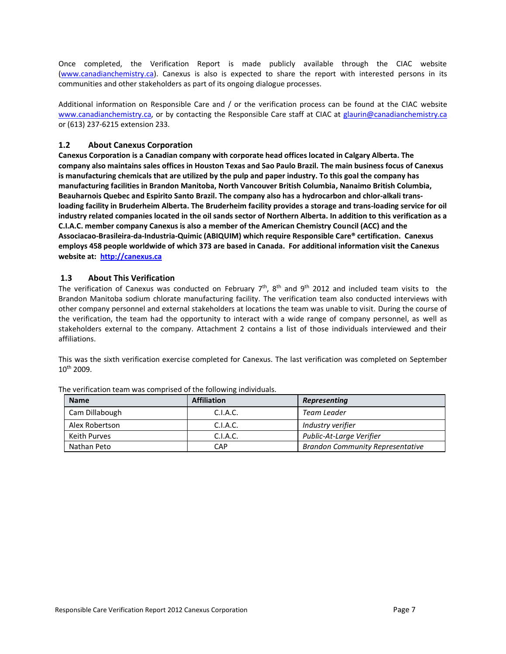Once completed, the Verification Report is made publicly available through the CIAC website [\(www.canadianchemistry.ca\)](http://www.canadianchemistry.ca/). Canexus is also is expected to share the report with interested persons in its communities and other stakeholders as part of its ongoing dialogue processes.

Additional information on Responsible Care and / or the verification process can be found at the CIAC website [www.canadianchemistry.ca,](http://www.canadianchemistry.ca/) or by contacting the Responsible Care staff at CIAC at [glaurin@canadianchemistry.ca](mailto:glaurin@canadianchemistry.ca) or (613) 237-6215 extension 233.

#### <span id="page-6-0"></span>**1.2 About Canexus Corporation**

**Canexus Corporation is a Canadian company with corporate head offices located in Calgary Alberta. The company also maintains sales offices in Houston Texas and Sao Paulo Brazil. The main business focus of Canexus is manufacturing chemicals that are utilized by the pulp and paper industry. To this goal the company has manufacturing facilities in Brandon Manitoba, North Vancouver British Columbia, Nanaimo British Columbia, Beauharnois Quebec and Espirito Santo Brazil. The company also has a hydrocarbon and chlor-alkali transloading facility in Bruderheim Alberta. The Bruderheim facility provides a storage and trans-loading service for oil industry related companies located in the oil sands sector of Northern Alberta. In addition to this verification as a C.I.A.C. member company Canexus is also a member of the American Chemistry Council (ACC) and the Associacao-Brasileira-da-Industria-Quimic (ABIQUIM) which require Responsible Care® certification. Canexus employs 458 people worldwide of which 373 are based in Canada. For additional information visit the Canexus website at: [http://canexus.ca](http://canexus.ca/)**

#### <span id="page-6-1"></span>**1.3 About This Verification**

The verification of Canexus was conducted on February  $7<sup>th</sup>$ , 8<sup>th</sup> and 9<sup>th</sup> 2012 and included team visits to the Brandon Manitoba sodium chlorate manufacturing facility. The verification team also conducted interviews with other company personnel and external stakeholders at locations the team was unable to visit. During the course of the verification, the team had the opportunity to interact with a wide range of company personnel, as well as stakeholders external to the company. Attachment 2 contains a list of those individuals interviewed and their affiliations.

This was the sixth verification exercise completed for Canexus. The last verification was completed on September 10th 2009.

<span id="page-6-2"></span>

| <b>Name</b>    | <b>Affiliation</b> | Representing                            |
|----------------|--------------------|-----------------------------------------|
| Cam Dillabough | C.I.A.C.           | <b>Team Leader</b>                      |
| Alex Robertson | C.I.A.C.           | Industry verifier                       |
| Keith Purves   | C.I.A.C.           | Public-At-Large Verifier                |
| Nathan Peto    | CAP                | <b>Brandon Community Representative</b> |

The verification team was comprised of the following individuals.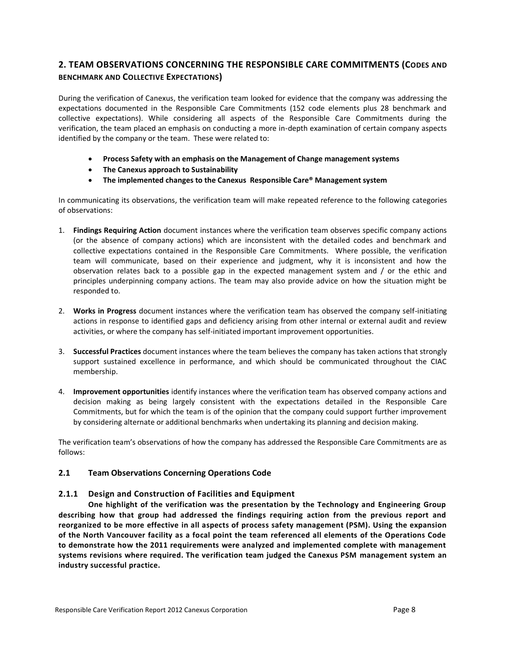## **2. TEAM OBSERVATIONS CONCERNING THE RESPONSIBLE CARE COMMITMENTS (CODES AND BENCHMARK AND COLLECTIVE EXPECTATIONS)**

During the verification of Canexus, the verification team looked for evidence that the company was addressing the expectations documented in the Responsible Care Commitments (152 code elements plus 28 benchmark and collective expectations). While considering all aspects of the Responsible Care Commitments during the verification, the team placed an emphasis on conducting a more in-depth examination of certain company aspects identified by the company or the team. These were related to:

- **Process Safety with an emphasis on the Management of Change management systems**
- **The Canexus approach to Sustainability**
- **The implemented changes to the Canexus Responsible Care® Management system**

In communicating its observations, the verification team will make repeated reference to the following categories of observations:

- 1. **Findings Requiring Action** document instances where the verification team observes specific company actions (or the absence of company actions) which are inconsistent with the detailed codes and benchmark and collective expectations contained in the Responsible Care Commitments. Where possible, the verification team will communicate, based on their experience and judgment, why it is inconsistent and how the observation relates back to a possible gap in the expected management system and / or the ethic and principles underpinning company actions. The team may also provide advice on how the situation might be responded to.
- 2. **Works in Progress** document instances where the verification team has observed the company self-initiating actions in response to identified gaps and deficiency arising from other internal or external audit and review activities, or where the company has self-initiated important improvement opportunities.
- 3. **Successful Practices** document instances where the team believes the company has taken actions that strongly support sustained excellence in performance, and which should be communicated throughout the CIAC membership.
- 4. **Improvement opportunities** identify instances where the verification team has observed company actions and decision making as being largely consistent with the expectations detailed in the Responsible Care Commitments, but for which the team is of the opinion that the company could support further improvement by considering alternate or additional benchmarks when undertaking its planning and decision making.

The verification team's observations of how the company has addressed the Responsible Care Commitments are as follows:

#### <span id="page-7-0"></span>**2.1 Team Observations Concerning Operations Code**

#### **2.1.1 Design and Construction of Facilities and Equipment**

**One highlight of the verification was the presentation by the Technology and Engineering Group describing how that group had addressed the findings requiring action from the previous report and reorganized to be more effective in all aspects of process safety management (PSM). Using the expansion of the North Vancouver facility as a focal point the team referenced all elements of the Operations Code to demonstrate how the 2011 requirements were analyzed and implemented complete with management systems revisions where required. The verification team judged the Canexus PSM management system an industry successful practice.**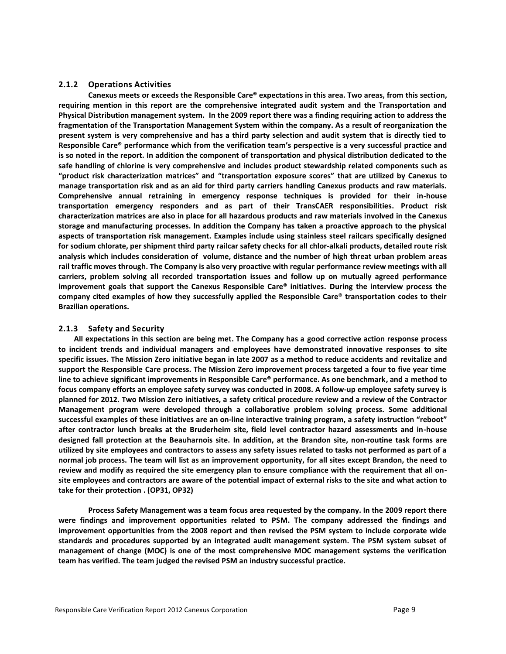#### **2.1.2 Operations Activities**

**Canexus meets or exceeds the Responsible Care® expectations in this area. Two areas, from this section, requiring mention in this report are the comprehensive integrated audit system and the Transportation and Physical Distribution management system. In the 2009 report there was a finding requiring action to address the fragmentation of the Transportation Management System within the company. As a result of reorganization the present system is very comprehensive and has a third party selection and audit system that is directly tied to Responsible Care® performance which from the verification team's perspective is a very successful practice and is so noted in the report. In addition the component of transportation and physical distribution dedicated to the safe handling of chlorine is very comprehensive and includes product stewardship related components such as "product risk characterization matrices" and "transportation exposure scores" that are utilized by Canexus to manage transportation risk and as an aid for third party carriers handling Canexus products and raw materials. Comprehensive annual retraining in emergency response techniques is provided for their in-house transportation emergency responders and as part of their TransCAER responsibilities. Product risk characterization matrices are also in place for all hazardous products and raw materials involved in the Canexus storage and manufacturing processes. In addition the Company has taken a proactive approach to the physical aspects of transportation risk management. Examples include using stainless steel railcars specifically designed for sodium chlorate, per shipment third party railcar safety checks for all chlor-alkali products, detailed route risk analysis which includes consideration of volume, distance and the number of high threat urban problem areas rail traffic moves through. The Company is also very proactive with regular performance review meetings with all carriers, problem solving all recorded transportation issues and follow up on mutually agreed performance improvement goals that support the Canexus Responsible Care® initiatives. During the interview process the company cited examples of how they successfully applied the Responsible Care® transportation codes to their Brazilian operations.**

#### **2.1.3 Safety and Security**

**All expectations in this section are being met. The Company has a good corrective action response process to incident trends and individual managers and employees have demonstrated innovative responses to site specific issues. The Mission Zero initiative began in late 2007 as a method to reduce accidents and revitalize and support the Responsible Care process. The Mission Zero improvement process targeted a four to five year time line to achieve significant improvements in Responsible Care® performance. As one benchmark, and a method to focus company efforts an employee safety survey was conducted in 2008. A follow-up employee safety survey is planned for 2012. Two Mission Zero initiatives, a safety critical procedure review and a review of the Contractor Management program were developed through a collaborative problem solving process. Some additional successful examples of these initiatives are an on-line interactive training program, a safety instruction "reboot" after contractor lunch breaks at the Bruderheim site, field level contractor hazard assessments and in-house designed fall protection at the Beauharnois site. In addition, at the Brandon site, non-routine task forms are utilized by site employees and contractors to assess any safety issues related to tasks not performed as part of a normal job process. The team will list as an improvement opportunity, for all sites except Brandon, the need to review and modify as required the site emergency plan to ensure compliance with the requirement that all onsite employees and contractors are aware of the potential impact of external risks to the site and what action to take for their protection . (OP31, OP32)** 

**Process Safety Management was a team focus area requested by the company. In the 2009 report there were findings and improvement opportunities related to PSM. The company addressed the findings and improvement opportunities from the 2008 report and then revised the PSM system to include corporate wide standards and procedures supported by an integrated audit management system. The PSM system subset of management of change (MOC) is one of the most comprehensive MOC management systems the verification team has verified. The team judged the revised PSM an industry successful practice.**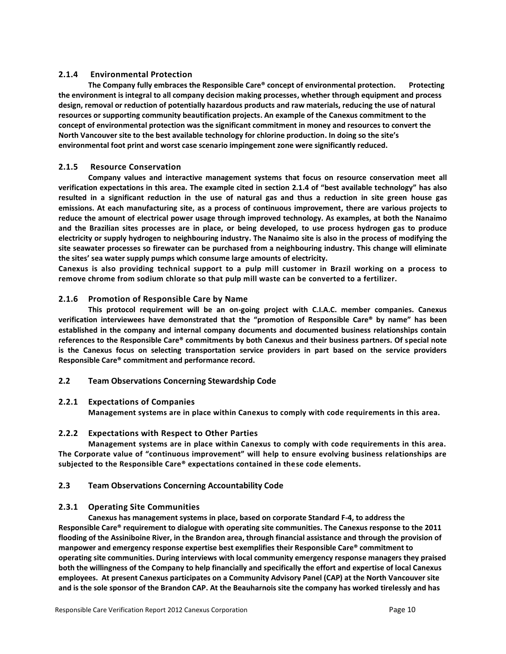#### **2.1.4 Environmental Protection**

**The Company fully embraces the Responsible Care® concept of environmental protection. Protecting the environment is integral to all company decision making processes, whether through equipment and process design, removal or reduction of potentially hazardous products and raw materials, reducing the use of natural resources or supporting community beautification projects. An example of the Canexus commitment to the concept of environmental protection was the significant commitment in money and resources to convert the North Vancouver site to the best available technology for chlorine production. In doing so the site's environmental foot print and worst case scenario impingement zone were significantly reduced.** 

#### **2.1.5 Resource Conservation**

**Company values and interactive management systems that focus on resource conservation meet all verification expectations in this area. The example cited in section 2.1.4 of "best available technology" has also resulted in a significant reduction in the use of natural gas and thus a reduction in site green house gas emissions. At each manufacturing site, as a process of continuous improvement, there are various projects to reduce the amount of electrical power usage through improved technology. As examples, at both the Nanaimo and the Brazilian sites processes are in place, or being developed, to use process hydrogen gas to produce electricity or supply hydrogen to neighbouring industry. The Nanaimo site is also in the process of modifying the site seawater processes so firewater can be purchased from a neighbouring industry. This change will eliminate the sites' sea water supply pumps which consume large amounts of electricity.** 

**Canexus is also providing technical support to a pulp mill customer in Brazil working on a process to remove chrome from sodium chlorate so that pulp mill waste can be converted to a fertilizer.** 

#### **2.1.6 Promotion of Responsible Care by Name**

**This protocol requirement will be an on-going project with C.I.A.C. member companies. Canexus verification interviewees have demonstrated that the "promotion of Responsible Care® by name" has been established in the company and internal company documents and documented business relationships contain references to the Responsible Care® commitments by both Canexus and their business partners. Of special note is the Canexus focus on selecting transportation service providers in part based on the service providers Responsible Care® commitment and performance record.**

#### <span id="page-9-0"></span>**2.2 Team Observations Concerning Stewardship Code**

#### **2.2.1 Expectations of Companies**

**Management systems are in place within Canexus to comply with code requirements in this area.** 

#### **2.2.2 Expectations with Respect to Other Parties**

**Management systems are in place within Canexus to comply with code requirements in this area. The Corporate value of "continuous improvement" will help to ensure evolving business relationships are subjected to the Responsible Care® expectations contained in these code elements.**

#### <span id="page-9-1"></span>**2.3 Team Observations Concerning Accountability Code**

#### **2.3.1 Operating Site Communities**

**Canexus has management systems in place, based on corporate Standard F-4, to address the Responsible Care® requirement to dialogue with operating site communities. The Canexus response to the 2011 flooding of the Assiniboine River, in the Brandon area, through financial assistance and through the provision of manpower and emergency response expertise best exemplifies their Responsible Care® commitment to operating site communities. During interviews with local community emergency response managers they praised both the willingness of the Company to help financially and specifically the effort and expertise of local Canexus employees. At present Canexus participates on a Community Advisory Panel (CAP) at the North Vancouver site and is the sole sponsor of the Brandon CAP. At the Beauharnois site the company has worked tirelessly and has**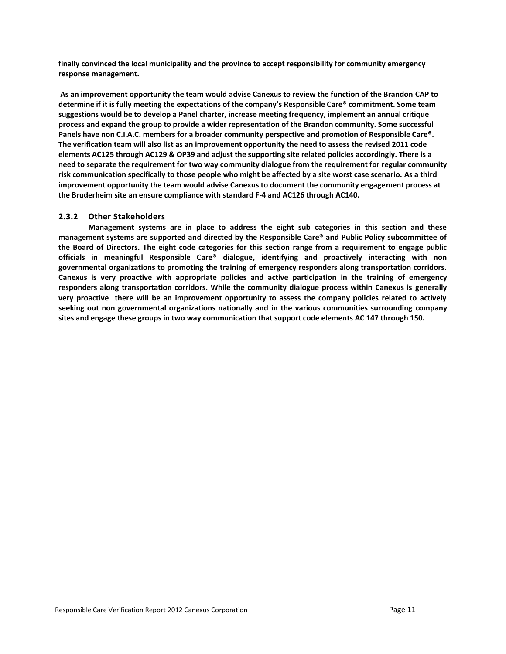**finally convinced the local municipality and the province to accept responsibility for community emergency response management.**

**As an improvement opportunity the team would advise Canexus to review the function of the Brandon CAP to determine if it is fully meeting the expectations of the company's Responsible Care® commitment. Some team suggestions would be to develop a Panel charter, increase meeting frequency, implement an annual critique process and expand the group to provide a wider representation of the Brandon community. Some successful Panels have non C.I.A.C. members for a broader community perspective and promotion of Responsible Care®. The verification team will also list as an improvement opportunity the need to assess the revised 2011 code elements AC125 through AC129 & OP39 and adjust the supporting site related policies accordingly. There is a need to separate the requirement for two way community dialogue from the requirement for regular community risk communication specifically to those people who might be affected by a site worst case scenario. As a third improvement opportunity the team would advise Canexus to document the community engagement process at the Bruderheim site an ensure compliance with standard F-4 and AC126 through AC140.** 

#### **2.3.2 Other Stakeholders**

**Management systems are in place to address the eight sub categories in this section and these management systems are supported and directed by the Responsible Care® and Public Policy subcommittee of the Board of Directors. The eight code categories for this section range from a requirement to engage public officials in meaningful Responsible Care® dialogue, identifying and proactively interacting with non governmental organizations to promoting the training of emergency responders along transportation corridors. Canexus is very proactive with appropriate policies and active participation in the training of emergency responders along transportation corridors. While the community dialogue process within Canexus is generally very proactive there will be an improvement opportunity to assess the company policies related to actively seeking out non governmental organizations nationally and in the various communities surrounding company sites and engage these groups in two way communication that support code elements AC 147 through 150.**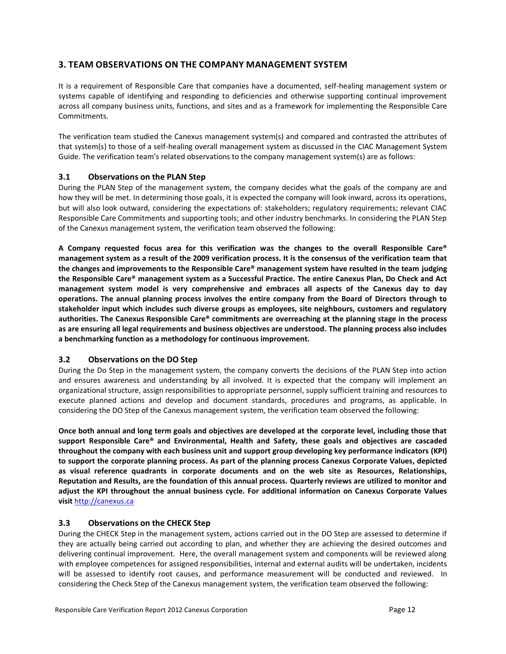### <span id="page-11-0"></span>**3. TEAM OBSERVATIONS ON THE COMPANY MANAGEMENT SYSTEM**

It is a requirement of Responsible Care that companies have a documented, self-healing management system or systems capable of identifying and responding to deficiencies and otherwise supporting continual improvement across all company business units, functions, and sites and as a framework for implementing the Responsible Care Commitments.

The verification team studied the Canexus management system(s) and compared and contrasted the attributes of that system(s) to those of a self-healing overall management system as discussed in the CIAC Management System Guide. The verification team's related observations to the company management system(s) are as follows:

#### <span id="page-11-1"></span>**3.1 Observations on the PLAN Step**

During the PLAN Step of the management system, the company decides what the goals of the company are and how they will be met. In determining those goals, it is expected the company will look inward, across its operations, but will also look outward, considering the expectations of: stakeholders; regulatory requirements; relevant CIAC Responsible Care Commitments and supporting tools; and other industry benchmarks. In considering the PLAN Step of the Canexus management system, the verification team observed the following:

**A Company requested focus area for this verification was the changes to the overall Responsible Care® management system as a result of the 2009 verification process. It is the consensus of the verification team that the changes and improvements to the Responsible Care® management system have resulted in the team judging the Responsible Care® management system as a Successful Practice. The entire Canexus Plan, Do Check and Act management system model is very comprehensive and embraces all aspects of the Canexus day to day operations. The annual planning process involves the entire company from the Board of Directors through to stakeholder input which includes such diverse groups as employees, site neighbours, customers and regulatory authorities. The Canexus Responsible Care® commitments are overreaching at the planning stage in the process as are ensuring all legal requirements and business objectives are understood. The planning process also includes a benchmarking function as a methodology for continuous improvement.** 

#### <span id="page-11-2"></span>**3.2 Observations on the DO Step**

During the Do Step in the management system, the company converts the decisions of the PLAN Step into action and ensures awareness and understanding by all involved. It is expected that the company will implement an organizational structure, assign responsibilities to appropriate personnel, supply sufficient training and resources to execute planned actions and develop and document standards, procedures and programs, as applicable. In considering the DO Step of the Canexus management system, the verification team observed the following:

**Once both annual and long term goals and objectives are developed at the corporate level, including those that support Responsible Care® and Environmental, Health and Safety, these goals and objectives are cascaded throughout the company with each business unit and support group developing key performance indicators (KPI) to support the corporate planning process. As part of the planning process Canexus Corporate Values, depicted as visual reference quadrants in corporate documents and on the web site as Resources, Relationships, Reputation and Results, are the foundation of this annual process. Quarterly reviews are utilized to monitor and adjust the KPI throughout the annual business cycle. For additional information on Canexus Corporate Values visit** [http://canexus.ca](http://canexus.ca/)

#### <span id="page-11-3"></span>**3.3 Observations on the CHECK Step**

During the CHECK Step in the management system, actions carried out in the DO Step are assessed to determine if they are actually being carried out according to plan, and whether they are achieving the desired outcomes and delivering continual improvement. Here, the overall management system and components will be reviewed along with employee competences for assigned responsibilities, internal and external audits will be undertaken, incidents will be assessed to identify root causes, and performance measurement will be conducted and reviewed. In considering the Check Step of the Canexus management system, the verification team observed the following: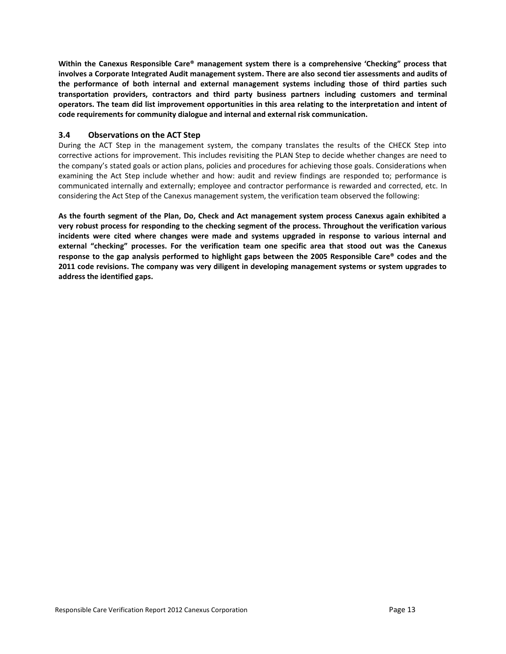**Within the Canexus Responsible Care® management system there is a comprehensive 'Checking" process that involves a Corporate Integrated Audit management system. There are also second tier assessments and audits of the performance of both internal and external management systems including those of third parties such transportation providers, contractors and third party business partners including customers and terminal operators. The team did list improvement opportunities in this area relating to the interpretation and intent of code requirements for community dialogue and internal and external risk communication.**

#### <span id="page-12-0"></span>**3.4 Observations on the ACT Step**

During the ACT Step in the management system, the company translates the results of the CHECK Step into corrective actions for improvement. This includes revisiting the PLAN Step to decide whether changes are need to the company's stated goals or action plans, policies and procedures for achieving those goals. Considerations when examining the Act Step include whether and how: audit and review findings are responded to; performance is communicated internally and externally; employee and contractor performance is rewarded and corrected, etc. In considering the Act Step of the Canexus management system, the verification team observed the following:

<span id="page-12-1"></span>**As the fourth segment of the Plan, Do, Check and Act management system process Canexus again exhibited a very robust process for responding to the checking segment of the process. Throughout the verification various incidents were cited where changes were made and systems upgraded in response to various internal and external "checking" processes. For the verification team one specific area that stood out was the Canexus response to the gap analysis performed to highlight gaps between the 2005 Responsible Care® codes and the 2011 code revisions. The company was very diligent in developing management systems or system upgrades to address the identified gaps.**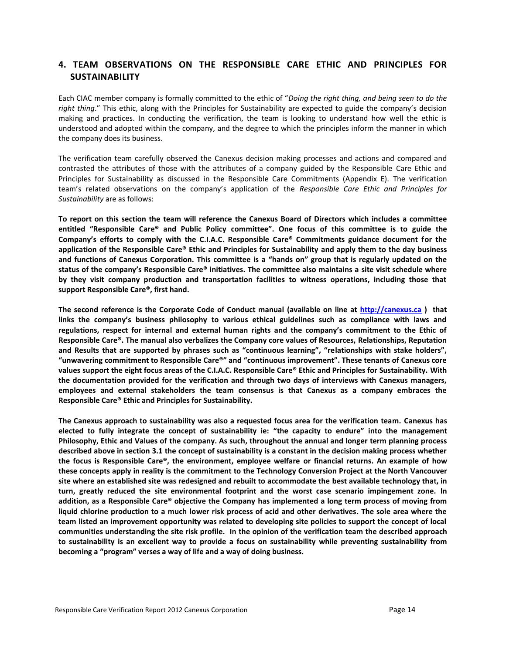## **4. TEAM OBSERVATIONS ON THE RESPONSIBLE CARE ETHIC AND PRINCIPLES FOR SUSTAINABILITY**

Each CIAC member company is formally committed to the ethic of "*Doing the right thing, and being seen to do the right thing*." This ethic, along with the Principles for Sustainability are expected to guide the company's decision making and practices. In conducting the verification, the team is looking to understand how well the ethic is understood and adopted within the company, and the degree to which the principles inform the manner in which the company does its business.

The verification team carefully observed the Canexus decision making processes and actions and compared and contrasted the attributes of those with the attributes of a company guided by the Responsible Care Ethic and Principles for Sustainability as discussed in the Responsible Care Commitments (Appendix E). The verification team's related observations on the company's application of the *Responsible Care Ethic and Principles for Sustainability* are as follows:

**To report on this section the team will reference the Canexus Board of Directors which includes a committee entitled "Responsible Care® and Public Policy committee". One focus of this committee is to guide the Company's efforts to comply with the C.I.A.C. Responsible Care® Commitments guidance document for the application of the Responsible Care® Ethic and Principles for Sustainability and apply them to the day business and functions of Canexus Corporation. This committee is a "hands on" group that is regularly updated on the status of the company's Responsible Care® initiatives. The committee also maintains a site visit schedule where by they visit company production and transportation facilities to witness operations, including those that support Responsible Care®, first hand.**

**The second reference is the Corporate Code of Conduct manual (available on line at [http://canexus.ca](http://canexus.ca/) ) that links the company's business philosophy to various ethical guidelines such as compliance with laws and regulations, respect for internal and external human rights and the company's commitment to the Ethic of Responsible Care®. The manual also verbalizes the Company core values of Resources, Relationships, Reputation and Results that are supported by phrases such as "continuous learning", "relationships with stake holders", "unwavering commitment to Responsible Care®" and "continuous improvement". These tenants of Canexus core values support the eight focus areas of the C.I.A.C. Responsible Care® Ethic and Principles for Sustainability. With the documentation provided for the verification and through two days of interviews with Canexus managers, employees and external stakeholders the team consensus is that Canexus as a company embraces the Responsible Care® Ethic and Principles for Sustainability.** 

<span id="page-13-0"></span>**The Canexus approach to sustainability was also a requested focus area for the verification team. Canexus has elected to fully integrate the concept of sustainability ie: "the capacity to endure" into the management Philosophy, Ethic and Values of the company. As such, throughout the annual and longer term planning process described above in section 3.1 the concept of sustainability is a constant in the decision making process whether the focus is Responsible Care®, the environment, employee welfare or financial returns. An example of how these concepts apply in reality is the commitment to the Technology Conversion Project at the North Vancouver site where an established site was redesigned and rebuilt to accommodate the best available technology that, in turn, greatly reduced the site environmental footprint and the worst case scenario impingement zone. In addition, as a Responsible Care® objective the Company has implemented a long term process of moving from liquid chlorine production to a much lower risk process of acid and other derivatives. The sole area where the team listed an improvement opportunity was related to developing site policies to support the concept of local communities understanding the site risk profile. In the opinion of the verification team the described approach to sustainability is an excellent way to provide a focus on sustainability while preventing sustainability from becoming a "program" verses a way of life and a way of doing business.**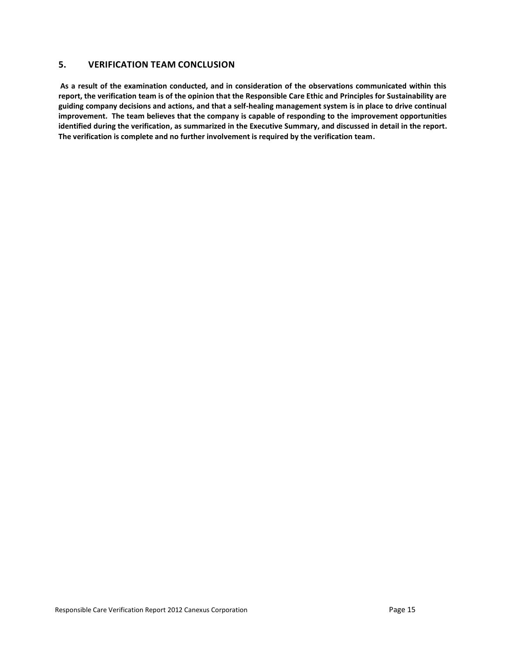### **5. VERIFICATION TEAM CONCLUSION**

**As a result of the examination conducted, and in consideration of the observations communicated within this report, the verification team is of the opinion that the Responsible Care Ethic and Principles for Sustainability are guiding company decisions and actions, and that a self-healing management system is in place to drive continual improvement. The team believes that the company is capable of responding to the improvement opportunities identified during the verification, as summarized in the Executive Summary, and discussed in detail in the report. The verification is complete and no further involvement is required by the verification team.**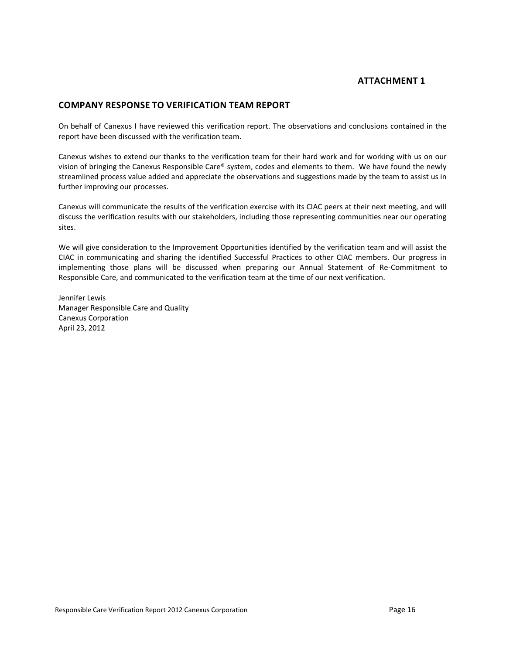## **ATTACHMENT 1**

#### <span id="page-15-0"></span>**COMPANY RESPONSE TO VERIFICATION TEAM REPORT**

On behalf of Canexus I have reviewed this verification report. The observations and conclusions contained in the report have been discussed with the verification team.

Canexus wishes to extend our thanks to the verification team for their hard work and for working with us on our vision of bringing the Canexus Responsible Care® system, codes and elements to them. We have found the newly streamlined process value added and appreciate the observations and suggestions made by the team to assist us in further improving our processes.

Canexus will communicate the results of the verification exercise with its CIAC peers at their next meeting, and will discuss the verification results with our stakeholders, including those representing communities near our operating sites.

We will give consideration to the Improvement Opportunities identified by the verification team and will assist the CIAC in communicating and sharing the identified Successful Practices to other CIAC members. Our progress in implementing those plans will be discussed when preparing our Annual Statement of Re-Commitment to Responsible Care, and communicated to the verification team at the time of our next verification.

Jennifer Lewis Manager Responsible Care and Quality Canexus Corporation April 23, 2012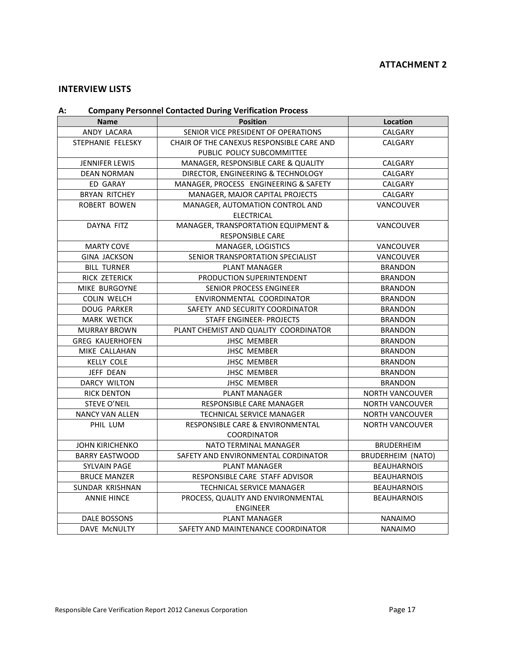## <span id="page-16-0"></span>**INTERVIEW LISTS**

## <span id="page-16-1"></span>**A: Company Personnel Contacted During Verification Process**

| <b>Position</b><br><b>Name</b>                            |                                                             | Location                 |
|-----------------------------------------------------------|-------------------------------------------------------------|--------------------------|
| ANDY LACARA                                               | SENIOR VICE PRESIDENT OF OPERATIONS                         | CALGARY                  |
| STEPHANIE FELESKY                                         | CHAIR OF THE CANEXUS RESPONSIBLE CARE AND<br><b>CALGARY</b> |                          |
|                                                           | PUBLIC POLICY SUBCOMMITTEE                                  |                          |
| <b>JENNIFER LEWIS</b>                                     | MANAGER, RESPONSIBLE CARE & QUALITY                         | CALGARY                  |
| <b>DEAN NORMAN</b>                                        | DIRECTOR, ENGINEERING & TECHNOLOGY                          | <b>CALGARY</b>           |
| ED GARAY                                                  | MANAGER, PROCESS ENGINEERING & SAFETY                       | CALGARY                  |
| <b>BRYAN RITCHEY</b>                                      | MANAGER, MAJOR CAPITAL PROJECTS                             | CALGARY                  |
| <b>ROBERT BOWEN</b>                                       | MANAGER, AUTOMATION CONTROL AND<br><b>VANCOUVER</b>         |                          |
|                                                           | <b>ELECTRICAL</b>                                           |                          |
| <b>DAYNA FITZ</b>                                         | MANAGER, TRANSPORTATION EQUIPMENT &                         | VANCOUVER                |
|                                                           | <b>RESPONSIBLE CARE</b>                                     |                          |
| <b>MARTY COVE</b>                                         | MANAGER, LOGISTICS                                          | VANCOUVER                |
| <b>GINA JACKSON</b>                                       | SENIOR TRANSPORTATION SPECIALIST                            | VANCOUVER                |
| <b>BILL TURNER</b>                                        | <b>PLANT MANAGER</b>                                        | <b>BRANDON</b>           |
| RICK ZETERICK                                             | PRODUCTION SUPERINTENDENT                                   | <b>BRANDON</b>           |
| MIKE BURGOYNE                                             | SENIOR PROCESS ENGINEER                                     | <b>BRANDON</b>           |
| <b>COLIN WELCH</b>                                        | ENVIRONMENTAL COORDINATOR                                   | <b>BRANDON</b>           |
| <b>DOUG PARKER</b>                                        | SAFETY AND SECURITY COORDINATOR                             | <b>BRANDON</b>           |
| <b>MARK WETICK</b>                                        | STAFF ENGINEER- PROJECTS                                    | <b>BRANDON</b>           |
| <b>MURRAY BROWN</b>                                       | PLANT CHEMIST AND QUALITY COORDINATOR                       | <b>BRANDON</b>           |
| <b>GREG KAUERHOFEN</b>                                    | <b>JHSC MEMBER</b>                                          | <b>BRANDON</b>           |
| MIKE CALLAHAN                                             | <b>JHSC MEMBER</b>                                          | <b>BRANDON</b>           |
| <b>KELLY COLE</b>                                         | <b>JHSC MEMBER</b>                                          | <b>BRANDON</b>           |
| JEFF DEAN                                                 | <b>JHSC MEMBER</b>                                          | <b>BRANDON</b>           |
| <b>DARCY WILTON</b>                                       | <b>JHSC MEMBER</b>                                          | <b>BRANDON</b>           |
| <b>RICK DENTON</b>                                        | <b>PLANT MANAGER</b>                                        | <b>NORTH VANCOUVER</b>   |
| STEVE O'NEIL                                              | RESPONSIBLE CARE MANAGER                                    | <b>NORTH VANCOUVER</b>   |
| <b>NANCY VAN ALLEN</b>                                    | TECHNICAL SERVICE MANAGER                                   | <b>NORTH VANCOUVER</b>   |
| PHIL LUM                                                  | <b>RESPONSIBLE CARE &amp; ENVIRONMENTAL</b>                 | <b>NORTH VANCOUVER</b>   |
|                                                           | <b>COORDINATOR</b>                                          |                          |
| <b>JOHN KIRICHENKO</b>                                    | NATO TERMINAL MANAGER                                       | <b>BRUDERHEIM</b>        |
| <b>BARRY EASTWOOD</b>                                     | SAFETY AND ENVIRONMENTAL CORDINATOR                         | <b>BRUDERHEIM (NATO)</b> |
| <b>SYLVAIN PAGE</b>                                       | <b>PLANT MANAGER</b><br><b>BEAUHARNOIS</b>                  |                          |
| <b>BRUCE MANZER</b>                                       | RESPONSIBLE CARE STAFF ADVISOR                              | <b>BEAUHARNOIS</b>       |
| SUNDAR KRISHNAN                                           | TECHNICAL SERVICE MANAGER<br><b>BEAUHARNOIS</b>             |                          |
| <b>ANNIE HINCE</b>                                        | PROCESS, QUALITY AND ENVIRONMENTAL<br><b>BEAUHARNOIS</b>    |                          |
|                                                           | <b>ENGINEER</b>                                             |                          |
| DALE BOSSONS                                              | <b>PLANT MANAGER</b><br><b>NANAIMO</b>                      |                          |
| <b>DAVE MCNULTY</b><br>SAFETY AND MAINTENANCE COORDINATOR |                                                             | <b>NANAIMO</b>           |